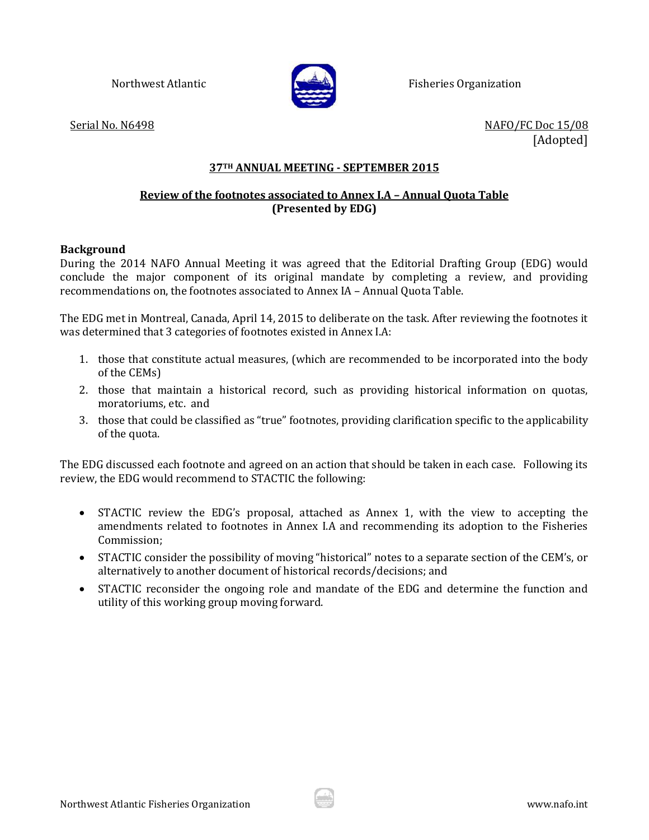

Northwest Atlantic Fisheries Organization

Serial No. N6498 NAFO/FC Doc 15/08 [Adopted]

## **37TH ANNUAL MEETING - SEPTEMBER 2015**

## **Review of the footnotes associated to Annex I.A – Annual Quota Table (Presented by EDG)**

## **Background**

During the 2014 NAFO Annual Meeting it was agreed that the Editorial Drafting Group (EDG) would conclude the major component of its original mandate by completing a review, and providing recommendations on, the footnotes associated to Annex IA – Annual Quota Table.

The EDG met in Montreal, Canada, April 14, 2015 to deliberate on the task. After reviewing the footnotes it was determined that 3 categories of footnotes existed in Annex I.A:

- 1. those that constitute actual measures, (which are recommended to be incorporated into the body of the CEMs)
- 2. those that maintain a historical record, such as providing historical information on quotas, moratoriums, etc. and
- 3. those that could be classified as "true" footnotes, providing clarification specific to the applicability of the quota.

The EDG discussed each footnote and agreed on an action that should be taken in each case. Following its review, the EDG would recommend to STACTIC the following:

- STACTIC review the EDG's proposal, attached as Annex 1, with the view to accepting the amendments related to footnotes in Annex I.A and recommending its adoption to the Fisheries Commission;
- STACTIC consider the possibility of moving "historical" notes to a separate section of the CEM's, or alternatively to another document of historical records/decisions; and
- STACTIC reconsider the ongoing role and mandate of the EDG and determine the function and utility of this working group moving forward.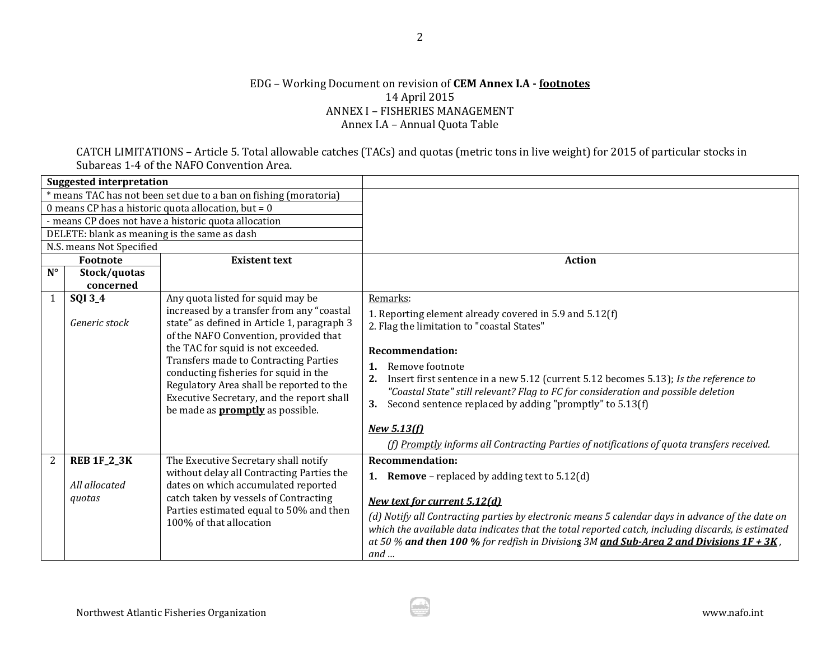## EDG – Working Document on revision of **CEM Annex I.A - footnotes** 14 April 2015 ANNEX I – FISHERIES MANAGEMENT Annex I.A – Annual Quota Table

CATCH LIMITATIONS – Article 5. Total allowable catches (TACs) and quotas (metric tons in live weight) for 2015 of particular stocks in Subareas 1-4 of the NAFO Convention Area.

|                                                       | <b>Suggested interpretation</b> |                                                                                    |                                                                                                    |
|-------------------------------------------------------|---------------------------------|------------------------------------------------------------------------------------|----------------------------------------------------------------------------------------------------|
|                                                       |                                 | * means TAC has not been set due to a ban on fishing (moratoria)                   |                                                                                                    |
| 0 means CP has a historic quota allocation, but = $0$ |                                 |                                                                                    |                                                                                                    |
|                                                       |                                 | - means CP does not have a historic quota allocation                               |                                                                                                    |
|                                                       |                                 | DELETE: blank as meaning is the same as dash                                       |                                                                                                    |
|                                                       | N.S. means Not Specified        |                                                                                    |                                                                                                    |
|                                                       | Footnote                        | <b>Existent text</b>                                                               | <b>Action</b>                                                                                      |
| $N^{\circ}$                                           | Stock/quotas                    |                                                                                    |                                                                                                    |
|                                                       | concerned                       |                                                                                    |                                                                                                    |
| $\mathbf{1}$                                          | SQI 3_4                         | Any quota listed for squid may be                                                  | Remarks:                                                                                           |
|                                                       |                                 | increased by a transfer from any "coastal                                          | 1. Reporting element already covered in 5.9 and 5.12(f)                                            |
|                                                       | Generic stock                   | state" as defined in Article 1, paragraph 3                                        | 2. Flag the limitation to "coastal States"                                                         |
|                                                       |                                 | of the NAFO Convention, provided that                                              |                                                                                                    |
|                                                       |                                 | the TAC for squid is not exceeded.<br><b>Transfers made to Contracting Parties</b> | <b>Recommendation:</b>                                                                             |
|                                                       |                                 | conducting fisheries for squid in the                                              | Remove footnote<br>1.                                                                              |
|                                                       |                                 | Regulatory Area shall be reported to the                                           | Insert first sentence in a new 5.12 (current 5.12 becomes 5.13); Is the reference to               |
|                                                       |                                 | Executive Secretary, and the report shall                                          | "Coastal State" still relevant? Flag to FC for consideration and possible deletion                 |
|                                                       |                                 | be made as <b>promptly</b> as possible.                                            | 3.<br>Second sentence replaced by adding "promptly" to 5.13(f)                                     |
|                                                       |                                 |                                                                                    | <b>New 5.13(f)</b>                                                                                 |
|                                                       |                                 |                                                                                    | (f) Promptly informs all Contracting Parties of notifications of quota transfers received.         |
|                                                       |                                 |                                                                                    |                                                                                                    |
| $\overline{2}$                                        | <b>REB 1F_2_3K</b>              | The Executive Secretary shall notify                                               | <b>Recommendation:</b>                                                                             |
|                                                       | All allocated                   | without delay all Contracting Parties the                                          | <b>1.</b> Remove – replaced by adding text to $5.12(d)$                                            |
|                                                       |                                 | dates on which accumulated reported<br>catch taken by vessels of Contracting       |                                                                                                    |
|                                                       | quotas                          | Parties estimated equal to 50% and then                                            | <b>New text for current 5.12(d)</b>                                                                |
|                                                       |                                 | 100% of that allocation                                                            | (d) Notify all Contracting parties by electronic means 5 calendar days in advance of the date on   |
|                                                       |                                 |                                                                                    | which the available data indicates that the total reported catch, including discards, is estimated |
|                                                       |                                 |                                                                                    | at 50 % and then 100 % for redfish in Divisions 3M and Sub-Area 2 and Divisions $1F + 3K$ ,        |
|                                                       |                                 |                                                                                    | $and \dots$                                                                                        |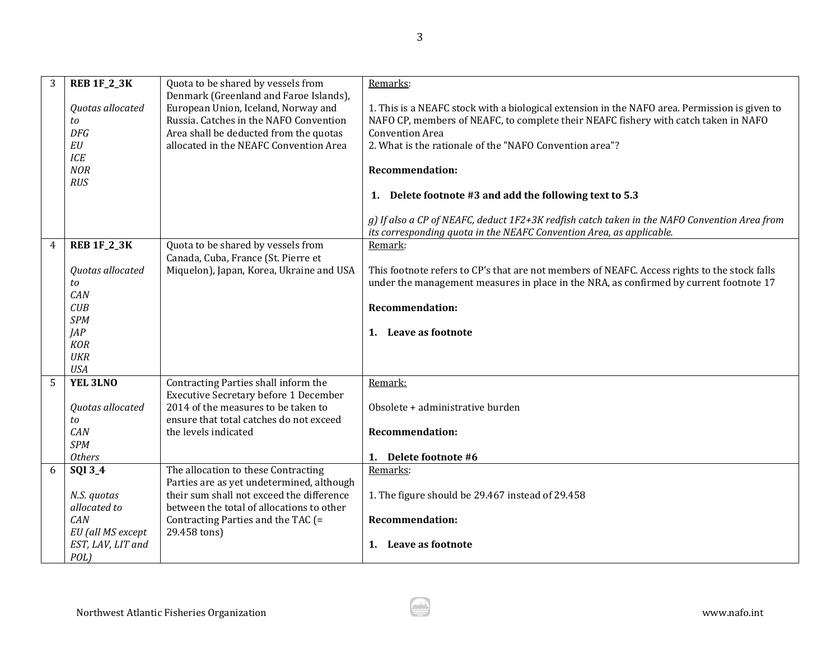| 3 | <b>REB 1F_2_3K</b>     | Quota to be shared by vessels from                                                  | Remarks:                                                                                                                                                                             |
|---|------------------------|-------------------------------------------------------------------------------------|--------------------------------------------------------------------------------------------------------------------------------------------------------------------------------------|
|   | Quotas allocated       | Denmark (Greenland and Faroe Islands),<br>European Union, Iceland, Norway and       |                                                                                                                                                                                      |
|   | to                     | Russia. Catches in the NAFO Convention                                              | 1. This is a NEAFC stock with a biological extension in the NAFO area. Permission is given to<br>NAFO CP, members of NEAFC, to complete their NEAFC fishery with catch taken in NAFO |
|   | <b>DFG</b>             | Area shall be deducted from the quotas                                              | <b>Convention Area</b>                                                                                                                                                               |
|   | $\cal{E}U$             | allocated in the NEAFC Convention Area                                              | 2. What is the rationale of the "NAFO Convention area"?                                                                                                                              |
|   | ICE                    |                                                                                     |                                                                                                                                                                                      |
|   | <b>NOR</b>             |                                                                                     | <b>Recommendation:</b>                                                                                                                                                               |
|   | <b>RUS</b>             |                                                                                     |                                                                                                                                                                                      |
|   |                        |                                                                                     | 1. Delete footnote #3 and add the following text to 5.3                                                                                                                              |
|   |                        |                                                                                     | g) If also a CP of NEAFC, deduct 1F2+3K redfish catch taken in the NAFO Convention Area from<br>its corresponding quota in the NEAFC Convention Area, as applicable.                 |
| 4 | <b>REB 1F_2_3K</b>     | Quota to be shared by vessels from<br>Canada, Cuba, France (St. Pierre et           | Remark:                                                                                                                                                                              |
|   | Quotas allocated       | Miquelon), Japan, Korea, Ukraine and USA                                            | This footnote refers to CP's that are not members of NEAFC. Access rights to the stock falls                                                                                         |
|   | to                     |                                                                                     | under the management measures in place in the NRA, as confirmed by current footnote 17                                                                                               |
|   | CAN                    |                                                                                     |                                                                                                                                                                                      |
|   | CUB                    |                                                                                     | <b>Recommendation:</b>                                                                                                                                                               |
|   | <b>SPM</b>             |                                                                                     |                                                                                                                                                                                      |
|   | <b>JAP</b>             |                                                                                     | 1. Leave as footnote                                                                                                                                                                 |
|   | <b>KOR</b>             |                                                                                     |                                                                                                                                                                                      |
|   | <b>UKR</b>             |                                                                                     |                                                                                                                                                                                      |
|   | <b>USA</b>             |                                                                                     |                                                                                                                                                                                      |
| 5 | YEL 3LNO               | Contracting Parties shall inform the                                                | Remark:                                                                                                                                                                              |
|   |                        | <b>Executive Secretary before 1 December</b><br>2014 of the measures to be taken to |                                                                                                                                                                                      |
|   | Quotas allocated<br>to | ensure that total catches do not exceed                                             | Obsolete + administrative burden                                                                                                                                                     |
|   | CAN                    | the levels indicated                                                                | <b>Recommendation:</b>                                                                                                                                                               |
|   | <b>SPM</b>             |                                                                                     |                                                                                                                                                                                      |
|   | <b>Others</b>          |                                                                                     | 1. Delete footnote #6                                                                                                                                                                |
| 6 | SQI 3_4                | The allocation to these Contracting                                                 | Remarks:                                                                                                                                                                             |
|   |                        | Parties are as yet undetermined, although                                           |                                                                                                                                                                                      |
|   | N.S. quotas            | their sum shall not exceed the difference                                           | 1. The figure should be 29.467 instead of 29.458                                                                                                                                     |
|   | allocated to           | between the total of allocations to other                                           |                                                                                                                                                                                      |
|   | CAN                    | Contracting Parties and the TAC (=                                                  | <b>Recommendation:</b>                                                                                                                                                               |
|   | EU (all MS except      | 29.458 tons)                                                                        |                                                                                                                                                                                      |
|   | EST, LAV, LIT and      |                                                                                     | 1. Leave as footnote                                                                                                                                                                 |
|   | POL)                   |                                                                                     |                                                                                                                                                                                      |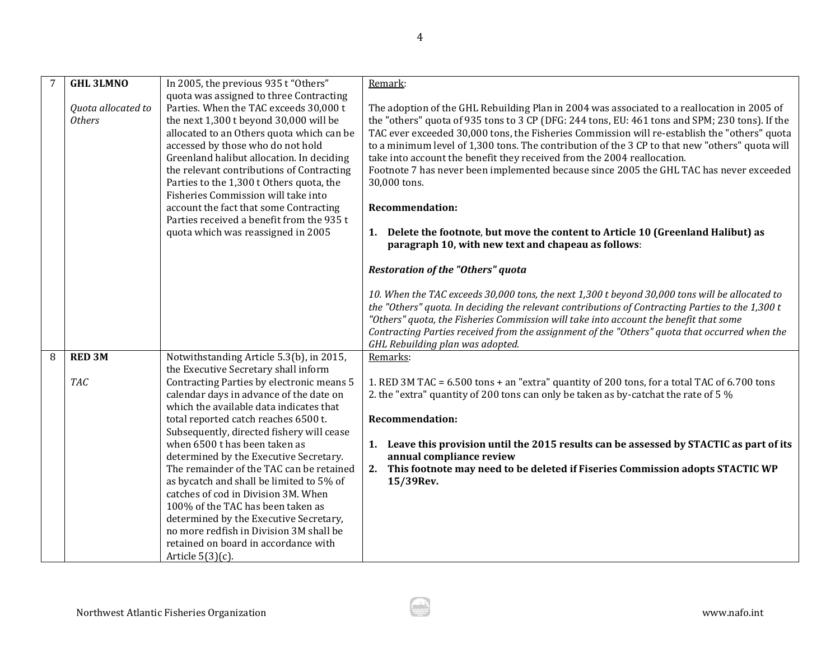|   | <b>GHL 3LMNO</b>                    | In 2005, the previous 935 t "Others"                                                                                                                                                                                                                                                                                                                                                       | Remark:                                                                                                                                                                                                                                                                                                                                                                                                                                                                                                                                                                               |
|---|-------------------------------------|--------------------------------------------------------------------------------------------------------------------------------------------------------------------------------------------------------------------------------------------------------------------------------------------------------------------------------------------------------------------------------------------|---------------------------------------------------------------------------------------------------------------------------------------------------------------------------------------------------------------------------------------------------------------------------------------------------------------------------------------------------------------------------------------------------------------------------------------------------------------------------------------------------------------------------------------------------------------------------------------|
|   | Quota allocated to<br><b>Others</b> | quota was assigned to three Contracting<br>Parties. When the TAC exceeds 30,000 t<br>the next 1,300 t beyond 30,000 will be<br>allocated to an Others quota which can be<br>accessed by those who do not hold<br>Greenland halibut allocation. In deciding<br>the relevant contributions of Contracting<br>Parties to the 1,300 t Others quota, the<br>Fisheries Commission will take into | The adoption of the GHL Rebuilding Plan in 2004 was associated to a reallocation in 2005 of<br>the "others" quota of 935 tons to 3 CP (DFG: 244 tons, EU: 461 tons and SPM; 230 tons). If the<br>TAC ever exceeded 30,000 tons, the Fisheries Commission will re-establish the "others" quota<br>to a minimum level of 1,300 tons. The contribution of the 3 CP to that new "others" quota will<br>take into account the benefit they received from the 2004 reallocation.<br>Footnote 7 has never been implemented because since 2005 the GHL TAC has never exceeded<br>30,000 tons. |
|   |                                     | account the fact that some Contracting                                                                                                                                                                                                                                                                                                                                                     | <b>Recommendation:</b>                                                                                                                                                                                                                                                                                                                                                                                                                                                                                                                                                                |
|   |                                     | Parties received a benefit from the 935 t<br>quota which was reassigned in 2005                                                                                                                                                                                                                                                                                                            | 1. Delete the footnote, but move the content to Article 10 (Greenland Halibut) as                                                                                                                                                                                                                                                                                                                                                                                                                                                                                                     |
|   |                                     |                                                                                                                                                                                                                                                                                                                                                                                            | paragraph 10, with new text and chapeau as follows:                                                                                                                                                                                                                                                                                                                                                                                                                                                                                                                                   |
|   |                                     |                                                                                                                                                                                                                                                                                                                                                                                            | <b>Restoration of the "Others" quota</b>                                                                                                                                                                                                                                                                                                                                                                                                                                                                                                                                              |
|   |                                     |                                                                                                                                                                                                                                                                                                                                                                                            | 10. When the TAC exceeds 30,000 tons, the next 1,300 t beyond 30,000 tons will be allocated to<br>the "Others" quota. In deciding the relevant contributions of Contracting Parties to the 1,300 t<br>"Others" quota, the Fisheries Commission will take into account the benefit that some<br>Contracting Parties received from the assignment of the "Others" quota that occurred when the<br>GHL Rebuilding plan was adopted.                                                                                                                                                      |
| 8 | <b>RED 3M</b>                       | Notwithstanding Article 5.3(b), in 2015,<br>the Executive Secretary shall inform                                                                                                                                                                                                                                                                                                           | Remarks:                                                                                                                                                                                                                                                                                                                                                                                                                                                                                                                                                                              |
|   | <b>TAC</b>                          | Contracting Parties by electronic means 5<br>calendar days in advance of the date on<br>which the available data indicates that                                                                                                                                                                                                                                                            | 1. RED 3M TAC = 6.500 tons + an "extra" quantity of 200 tons, for a total TAC of 6.700 tons<br>2. the "extra" quantity of 200 tons can only be taken as by-catchat the rate of 5 %                                                                                                                                                                                                                                                                                                                                                                                                    |
|   |                                     | total reported catch reaches 6500 t.                                                                                                                                                                                                                                                                                                                                                       | <b>Recommendation:</b>                                                                                                                                                                                                                                                                                                                                                                                                                                                                                                                                                                |
|   |                                     | Subsequently, directed fishery will cease<br>when 6500 t has been taken as<br>determined by the Executive Secretary.<br>The remainder of the TAC can be retained                                                                                                                                                                                                                           | 1. Leave this provision until the 2015 results can be assessed by STACTIC as part of its<br>annual compliance review<br>2. This footnote may need to be deleted if Fiseries Commission adopts STACTIC WP                                                                                                                                                                                                                                                                                                                                                                              |
|   |                                     | as bycatch and shall be limited to 5% of                                                                                                                                                                                                                                                                                                                                                   | 15/39Rev.                                                                                                                                                                                                                                                                                                                                                                                                                                                                                                                                                                             |
|   |                                     | catches of cod in Division 3M. When<br>100% of the TAC has been taken as                                                                                                                                                                                                                                                                                                                   |                                                                                                                                                                                                                                                                                                                                                                                                                                                                                                                                                                                       |
|   |                                     | determined by the Executive Secretary,                                                                                                                                                                                                                                                                                                                                                     |                                                                                                                                                                                                                                                                                                                                                                                                                                                                                                                                                                                       |
|   |                                     | no more redfish in Division 3M shall be                                                                                                                                                                                                                                                                                                                                                    |                                                                                                                                                                                                                                                                                                                                                                                                                                                                                                                                                                                       |
|   |                                     | retained on board in accordance with<br>Article $5(3)(c)$ .                                                                                                                                                                                                                                                                                                                                |                                                                                                                                                                                                                                                                                                                                                                                                                                                                                                                                                                                       |

4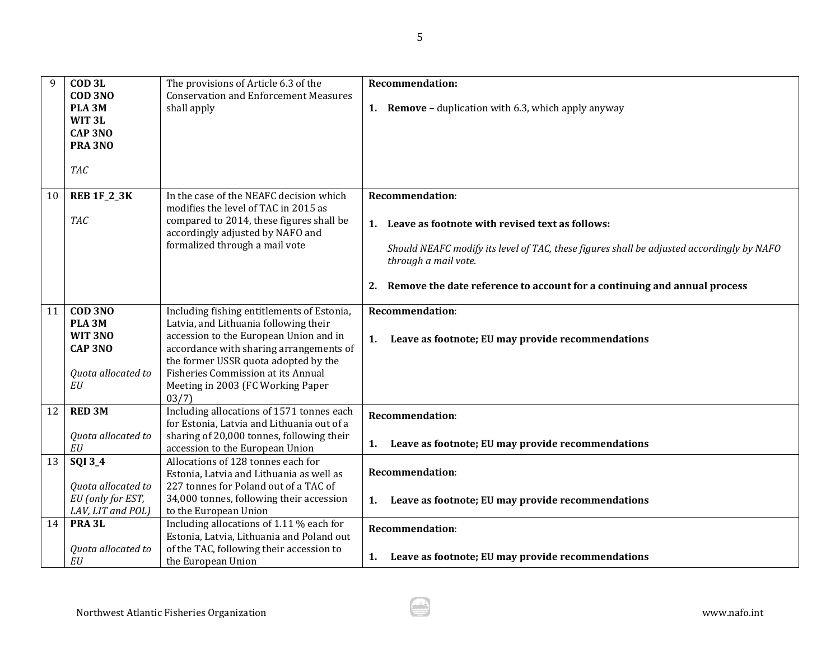| 9  | COD <sub>3L</sub><br>COD 3NO<br>PLA <sub>3M</sub><br>WIT <sub>3L</sub> | The provisions of Article 6.3 of the<br><b>Conservation and Enforcement Measures</b><br>shall apply                       | <b>Recommendation:</b><br><b>1.</b> Remove - duplication with 6.3, which apply anyway                             |
|----|------------------------------------------------------------------------|---------------------------------------------------------------------------------------------------------------------------|-------------------------------------------------------------------------------------------------------------------|
|    | <b>CAP 3NO</b><br><b>PRA 3NO</b>                                       |                                                                                                                           |                                                                                                                   |
|    | <b>TAC</b>                                                             |                                                                                                                           |                                                                                                                   |
| 10 | <b>REB 1F_2_3K</b>                                                     | In the case of the NEAFC decision which<br>modifies the level of TAC in 2015 as                                           | <b>Recommendation:</b>                                                                                            |
|    | <b>TAC</b>                                                             | compared to 2014, these figures shall be<br>accordingly adjusted by NAFO and                                              | 1. Leave as footnote with revised text as follows:                                                                |
|    |                                                                        | formalized through a mail vote                                                                                            | Should NEAFC modify its level of TAC, these figures shall be adjusted accordingly by NAFO<br>through a mail vote. |
|    |                                                                        |                                                                                                                           | Remove the date reference to account for a continuing and annual process<br>2.                                    |
| 11 | COD 3NO<br>PLA <sub>3M</sub>                                           | Including fishing entitlements of Estonia,<br>Latvia, and Lithuania following their                                       | <b>Recommendation:</b>                                                                                            |
|    | WIT 3NO<br><b>CAP 3NO</b>                                              | accession to the European Union and in<br>accordance with sharing arrangements of<br>the former USSR quota adopted by the | Leave as footnote; EU may provide recommendations<br>1.                                                           |
|    | Quota allocated to<br>EU                                               | <b>Fisheries Commission at its Annual</b><br>Meeting in 2003 (FC Working Paper<br>03/7)                                   |                                                                                                                   |
| 12 | <b>RED 3M</b>                                                          | Including allocations of 1571 tonnes each<br>for Estonia, Latvia and Lithuania out of a                                   | <b>Recommendation:</b>                                                                                            |
|    | Quota allocated to<br>$\cal{E}U$                                       | sharing of 20,000 tonnes, following their<br>accession to the European Union                                              | Leave as footnote; EU may provide recommendations<br>1.                                                           |
| 13 | SQI 3_4<br>Quota allocated to                                          | Allocations of 128 tonnes each for<br>Estonia, Latvia and Lithuania as well as<br>227 tonnes for Poland out of a TAC of   | <b>Recommendation:</b>                                                                                            |
|    | EU (only for EST,<br>LAV, LIT and POL)                                 | 34,000 tonnes, following their accession<br>to the European Union                                                         | Leave as footnote; EU may provide recommendations<br>1.                                                           |
| 14 | PRA <sub>3L</sub>                                                      | Including allocations of 1.11 % each for<br>Estonia, Latvia, Lithuania and Poland out                                     | <b>Recommendation:</b>                                                                                            |
|    | Quota allocated to<br>EU                                               | of the TAC, following their accession to<br>the European Union                                                            | 1. Leave as footnote; EU may provide recommendations                                                              |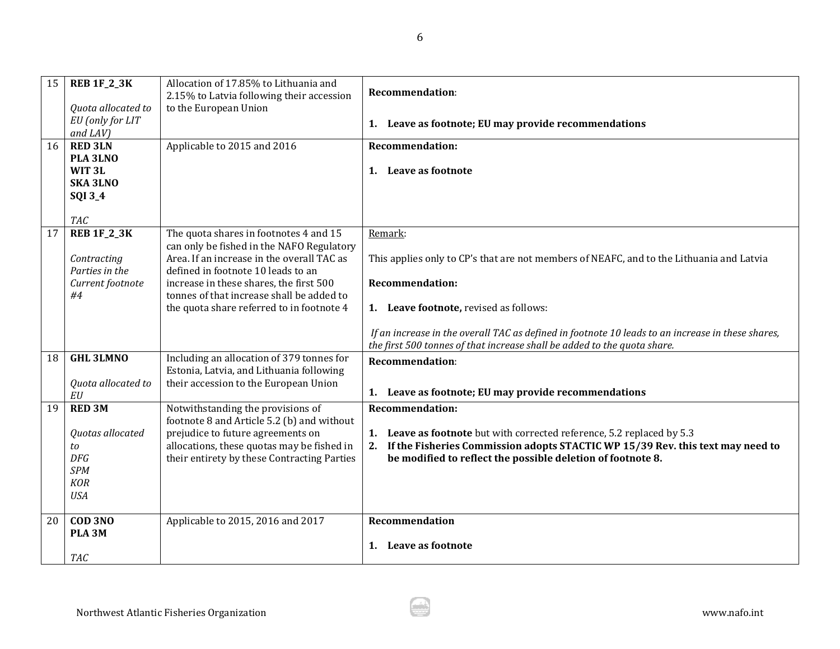| 15 | <b>REB 1F_2_3K</b><br>Quota allocated to<br>EU (only for LIT<br>$and$ $LAV$ )                   | Allocation of 17.85% to Lithuania and<br>2.15% to Latvia following their accession<br>to the European Union                                                                                                                                                                                                  | <b>Recommendation:</b><br>1. Leave as footnote; EU may provide recommendations                                                                                                                                                                                                                                                                           |
|----|-------------------------------------------------------------------------------------------------|--------------------------------------------------------------------------------------------------------------------------------------------------------------------------------------------------------------------------------------------------------------------------------------------------------------|----------------------------------------------------------------------------------------------------------------------------------------------------------------------------------------------------------------------------------------------------------------------------------------------------------------------------------------------------------|
| 16 | <b>RED 3LN</b><br>PLA 3LNO<br>WIT <sub>3L</sub><br><b>SKA 3LNO</b><br>SQI 3_4<br><b>TAC</b>     | Applicable to 2015 and 2016                                                                                                                                                                                                                                                                                  | <b>Recommendation:</b><br>1. Leave as footnote                                                                                                                                                                                                                                                                                                           |
| 17 | <b>REB 1F_2_3K</b><br>Contracting<br>Parties in the<br>Current footnote<br>#4                   | The quota shares in footnotes 4 and 15<br>can only be fished in the NAFO Regulatory<br>Area. If an increase in the overall TAC as<br>defined in footnote 10 leads to an<br>increase in these shares, the first 500<br>tonnes of that increase shall be added to<br>the quota share referred to in footnote 4 | Remark:<br>This applies only to CP's that are not members of NEAFC, and to the Lithuania and Latvia<br><b>Recommendation:</b><br>1. Leave footnote, revised as follows:<br>If an increase in the overall TAC as defined in footnote 10 leads to an increase in these shares,<br>the first 500 tonnes of that increase shall be added to the quota share. |
| 18 | <b>GHL 3LMNO</b><br>Quota allocated to<br>EU                                                    | Including an allocation of 379 tonnes for<br>Estonia, Latvia, and Lithuania following<br>their accession to the European Union                                                                                                                                                                               | <b>Recommendation:</b><br>1. Leave as footnote; EU may provide recommendations                                                                                                                                                                                                                                                                           |
| 19 | <b>RED 3M</b><br>Quotas allocated<br>to<br><b>DFG</b><br><b>SPM</b><br><b>KOR</b><br><b>USA</b> | Notwithstanding the provisions of<br>footnote 8 and Article 5.2 (b) and without<br>prejudice to future agreements on<br>allocations, these quotas may be fished in<br>their entirety by these Contracting Parties                                                                                            | <b>Recommendation:</b><br>1. Leave as footnote but with corrected reference, 5.2 replaced by 5.3<br>2. If the Fisheries Commission adopts STACTIC WP 15/39 Rev. this text may need to<br>be modified to reflect the possible deletion of footnote 8.                                                                                                     |
| 20 | <b>COD 3NO</b><br>PLA <sub>3M</sub><br><b>TAC</b>                                               | Applicable to 2015, 2016 and 2017                                                                                                                                                                                                                                                                            | <b>Recommendation</b><br>Leave as footnote<br>1.                                                                                                                                                                                                                                                                                                         |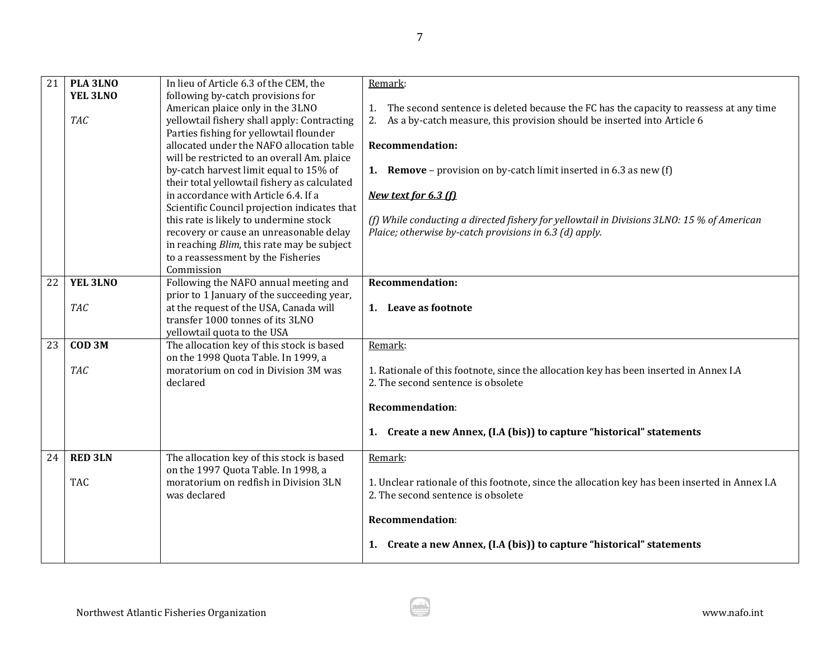| 21 | PLA 3LNO          | In lieu of Article 6.3 of the CEM, the                                               | Remark:                                                                                                                      |
|----|-------------------|--------------------------------------------------------------------------------------|------------------------------------------------------------------------------------------------------------------------------|
|    | YEL 3LNO          | following by-catch provisions for                                                    |                                                                                                                              |
|    |                   | American plaice only in the 3LNO                                                     | 1. The second sentence is deleted because the FC has the capacity to reassess at any time                                    |
|    | <b>TAC</b>        | yellowtail fishery shall apply: Contracting                                          | 2. As a by-catch measure, this provision should be inserted into Article 6                                                   |
|    |                   | Parties fishing for yellowtail flounder                                              |                                                                                                                              |
|    |                   | allocated under the NAFO allocation table                                            | <b>Recommendation:</b>                                                                                                       |
|    |                   | will be restricted to an overall Am. plaice                                          |                                                                                                                              |
|    |                   | by-catch harvest limit equal to 15% of                                               | <b>1.</b> Remove – provision on by-catch limit inserted in 6.3 as new $(f)$                                                  |
|    |                   | their total yellowtail fishery as calculated<br>in accordance with Article 6.4. If a | New text for 6.3 (f)                                                                                                         |
|    |                   | Scientific Council projection indicates that                                         |                                                                                                                              |
|    |                   | this rate is likely to undermine stock                                               | (f) While conducting a directed fishery for yellowtail in Divisions 3LNO: 15 % of American                                   |
|    |                   | recovery or cause an unreasonable delay                                              | Plaice; otherwise by-catch provisions in 6.3 (d) apply.                                                                      |
|    |                   | in reaching <i>Blim</i> , this rate may be subject                                   |                                                                                                                              |
|    |                   | to a reassessment by the Fisheries                                                   |                                                                                                                              |
|    |                   | Commission                                                                           |                                                                                                                              |
| 22 | YEL 3LNO          | Following the NAFO annual meeting and                                                | <b>Recommendation:</b>                                                                                                       |
|    |                   | prior to 1 January of the succeeding year,                                           |                                                                                                                              |
|    | <b>TAC</b>        | at the request of the USA, Canada will                                               | 1. Leave as footnote                                                                                                         |
|    |                   | transfer 1000 tonnes of its 3LNO                                                     |                                                                                                                              |
|    |                   | yellowtail quota to the USA                                                          |                                                                                                                              |
| 23 | COD <sub>3M</sub> | The allocation key of this stock is based                                            | Remark:                                                                                                                      |
|    |                   | on the 1998 Quota Table. In 1999, a<br>moratorium on cod in Division 3M was          |                                                                                                                              |
|    | <b>TAC</b>        | declared                                                                             | 1. Rationale of this footnote, since the allocation key has been inserted in Annex I.A<br>2. The second sentence is obsolete |
|    |                   |                                                                                      |                                                                                                                              |
|    |                   |                                                                                      | Recommendation:                                                                                                              |
|    |                   |                                                                                      |                                                                                                                              |
|    |                   |                                                                                      | 1. Create a new Annex, (I.A (bis)) to capture "historical" statements                                                        |
| 24 | <b>RED 3LN</b>    | The allocation key of this stock is based                                            | Remark:                                                                                                                      |
|    |                   | on the 1997 Quota Table. In 1998, a                                                  |                                                                                                                              |
|    | <b>TAC</b>        | moratorium on redfish in Division 3LN                                                | 1. Unclear rationale of this footnote, since the allocation key has been inserted in Annex I.A                               |
|    |                   | was declared                                                                         | 2. The second sentence is obsolete                                                                                           |
|    |                   |                                                                                      | <b>Recommendation:</b>                                                                                                       |
|    |                   |                                                                                      | 1. Create a new Annex, (I.A (bis)) to capture "historical" statements                                                        |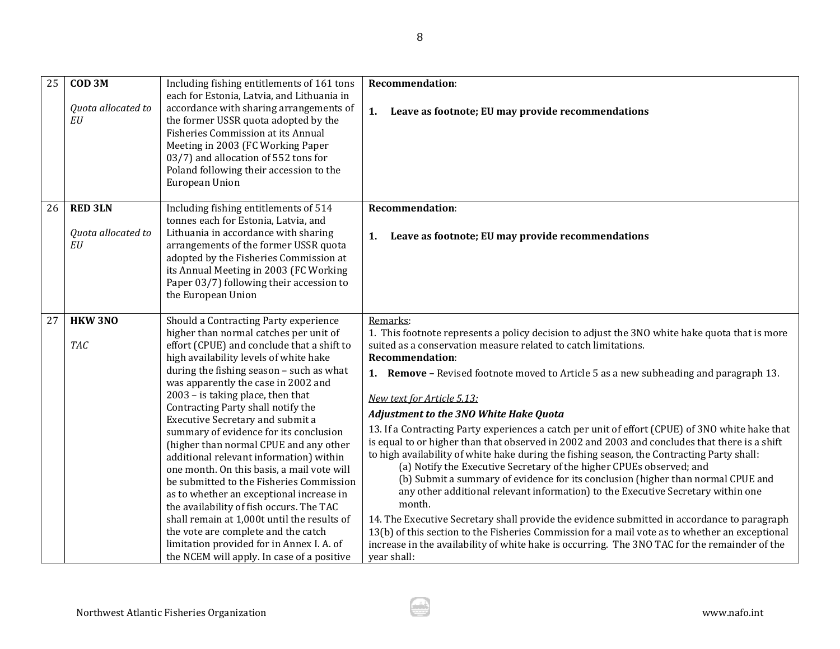| 25 | COD <sub>3M</sub>  | Including fishing entitlements of 161 tons                                      | <b>Recommendation:</b>                                                                          |
|----|--------------------|---------------------------------------------------------------------------------|-------------------------------------------------------------------------------------------------|
|    |                    | each for Estonia, Latvia, and Lithuania in                                      |                                                                                                 |
|    | Quota allocated to | accordance with sharing arrangements of                                         | Leave as footnote; EU may provide recommendations<br>1.                                         |
|    | EU                 | the former USSR quota adopted by the                                            |                                                                                                 |
|    |                    | Fisheries Commission at its Annual                                              |                                                                                                 |
|    |                    | Meeting in 2003 (FC Working Paper                                               |                                                                                                 |
|    |                    | 03/7) and allocation of 552 tons for<br>Poland following their accession to the |                                                                                                 |
|    |                    | European Union                                                                  |                                                                                                 |
|    |                    |                                                                                 |                                                                                                 |
| 26 | <b>RED 3LN</b>     | Including fishing entitlements of 514                                           | <b>Recommendation:</b>                                                                          |
|    |                    | tonnes each for Estonia, Latvia, and                                            |                                                                                                 |
|    | Quota allocated to | Lithuania in accordance with sharing                                            | Leave as footnote; EU may provide recommendations<br>1.                                         |
|    | EU                 | arrangements of the former USSR quota                                           |                                                                                                 |
|    |                    | adopted by the Fisheries Commission at                                          |                                                                                                 |
|    |                    | its Annual Meeting in 2003 (FC Working                                          |                                                                                                 |
|    |                    | Paper 03/7) following their accession to                                        |                                                                                                 |
|    |                    | the European Union                                                              |                                                                                                 |
| 27 | <b>HKW 3NO</b>     | Should a Contracting Party experience                                           | Remarks:                                                                                        |
|    |                    | higher than normal catches per unit of                                          | 1. This footnote represents a policy decision to adjust the 3NO white hake quota that is more   |
|    | <b>TAC</b>         | effort (CPUE) and conclude that a shift to                                      | suited as a conservation measure related to catch limitations.                                  |
|    |                    | high availability levels of white hake                                          | <b>Recommendation:</b>                                                                          |
|    |                    | during the fishing season - such as what                                        | <b>1.</b> Remove – Revised footnote moved to Article 5 as a new subheading and paragraph 13.    |
|    |                    | was apparently the case in 2002 and                                             |                                                                                                 |
|    |                    | 2003 - is taking place, then that                                               | New text for Article 5.13:                                                                      |
|    |                    | Contracting Party shall notify the<br>Executive Secretary and submit a          | <b>Adjustment to the 3NO White Hake Quota</b>                                                   |
|    |                    | summary of evidence for its conclusion                                          | 13. If a Contracting Party experiences a catch per unit of effort (CPUE) of 3NO white hake that |
|    |                    | (higher than normal CPUE and any other                                          | is equal to or higher than that observed in 2002 and 2003 and concludes that there is a shift   |
|    |                    | additional relevant information) within                                         | to high availability of white hake during the fishing season, the Contracting Party shall:      |
|    |                    | one month. On this basis, a mail vote will                                      | (a) Notify the Executive Secretary of the higher CPUEs observed; and                            |
|    |                    | be submitted to the Fisheries Commission                                        | (b) Submit a summary of evidence for its conclusion (higher than normal CPUE and                |
|    |                    | as to whether an exceptional increase in                                        | any other additional relevant information) to the Executive Secretary within one                |
|    |                    | the availability of fish occurs. The TAC                                        | month.                                                                                          |
|    |                    | shall remain at 1,000t until the results of                                     | 14. The Executive Secretary shall provide the evidence submitted in accordance to paragraph     |
|    |                    | the vote are complete and the catch                                             | 13(b) of this section to the Fisheries Commission for a mail vote as to whether an exceptional  |
|    |                    | limitation provided for in Annex I. A. of                                       | increase in the availability of white hake is occurring. The 3NO TAC for the remainder of the   |
|    |                    | the NCEM will apply. In case of a positive                                      | year shall:                                                                                     |